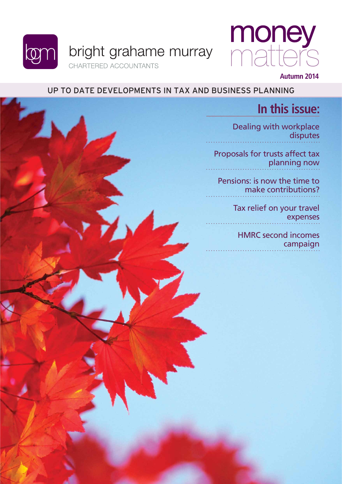



#### **Autumn 2014**

### Up to date developments in tax and business planning

### **In this issue:**

[Dealing with workplace](#page-1-0)  disputes

[Proposals for trusts affect tax](#page-3-0)  planning now

[Pensions: is now the time to](#page-4-0)  make contributions?

> [Tax relief on your travel](#page-5-0)  expenses

[HMRC second incomes](#page-6-0)  campaign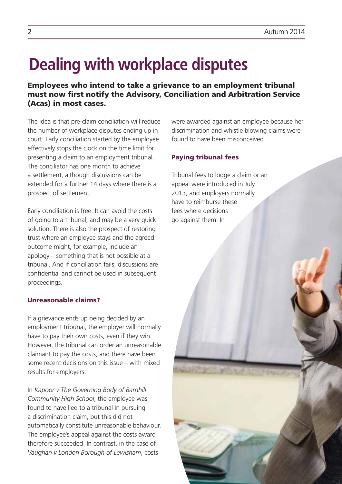# <span id="page-1-0"></span>**Dealing with workplace disputes**

Employees who intend to take a grievance to an employment tribunal must now first notify the Advisory, Conciliation and Arbitration Service (Acas) in most cases.

The idea is that pre-claim conciliation will reduce the number of workplace disputes ending up in court. Early conciliation started by the employee effectively stops the clock on the time limit for presenting a claim to an employment tribunal. The conciliator has one month to achieve a settlement, although discussions can be extended for a further 14 days where there is a prospect of settlement.

Early conciliation is free. It can avoid the costs of going to a tribunal, and may be a very quick solution. There is also the prospect of restoring trust where an employee stays and the agreed outcome might, for example, include an apology – something that is not possible at a tribunal. And if conciliation fails, discussions are confidential and cannot be used in subsequent proceedings.

#### Unreasonable claims?

If a grievance ends up being decided by an employment tribunal, the employer will normally have to pay their own costs, even if they win. However, the tribunal can order an unreasonable claimant to pay the costs, and there have been some recent decisions on this issue – with mixed results for employers.

In *Kapoor v The Governing Body of Barnhill Community High School*, the employee was found to have lied to a tribunal in pursuing a discrimination claim, but this did not automatically constitute unreasonable behaviour. The employee's appeal against the costs award therefore succeeded. In contrast, in the case of *Vaughan v London Borough of Lewisham*, costs

were awarded against an employee because her discrimination and whistle blowing claims were found to have been misconceived.

#### Paying tribunal fees

Tribunal fees to lodge a claim or an appeal were introduced in July 2013, and employers normally have to reimburse these fees where decisions go against them. In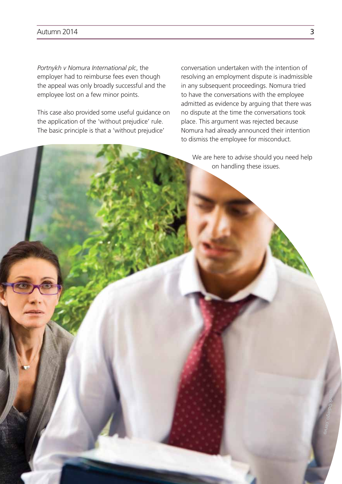#### Autumn 2014 **3**

*Portnykh v Nomura International plc*, the employer had to reimburse fees even though the appeal was only broadly successful and the employee lost on a few minor points.

This case also provided some useful guidance on the application of the 'without prejudice' rule. The basic principle is that a 'without prejudice'

conversation undertaken with the intention of resolving an employment dispute is inadmissible in any subsequent proceedings. Nomura tried to have the conversations with the employee admitted as evidence by arguing that there was no dispute at the time the conversations took place. This argument was rejected because Nomura had already announced their intention to dismiss the employee for misconduct.

We are here to advise should you need help on handling these issues.

**Si to**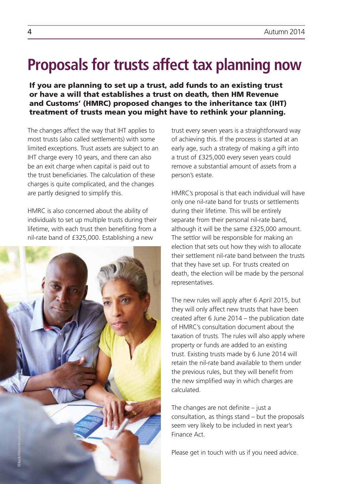### <span id="page-3-0"></span>**Proposals for trusts affect tax planning now**

If you are planning to set up a trust, add funds to an existing trust or have a will that establishes a trust on death, then HM Revenue and Customs' (HMRC) proposed changes to the inheritance tax (IHT) treatment of trusts mean you might have to rethink your planning.

The changes affect the way that IHT applies to most trusts (also called settlements) with some limited exceptions. Trust assets are subject to an IHT charge every 10 years, and there can also be an exit charge when capital is paid out to the trust beneficiaries. The calculation of these charges is quite complicated, and the changes are partly designed to simplify this.

HMRC is also concerned about the ability of individuals to set up multiple trusts during their lifetime, with each trust then benefiting from a nil-rate band of £325,000. Establishing a new



trust every seven years is a straightforward way of achieving this. If the process is started at an early age, such a strategy of making a gift into a trust of £325,000 every seven years could remove a substantial amount of assets from a person's estate.

HMRC's proposal is that each individual will have only one nil-rate band for trusts or settlements during their lifetime. This will be entirely separate from their personal nil-rate band, although it will be the same £325,000 amount. The settlor will be responsible for making an election that sets out how they wish to allocate their settlement nil-rate band between the trusts that they have set up. For trusts created on death, the election will be made by the personal representatives.

The new rules will apply after 6 April 2015, but they will only affect new trusts that have been created after 6 June 2014 – the publication date of HMRC's consultation document about the taxation of trusts. The rules will also apply where property or funds are added to an existing trust. Existing trusts made by 6 June 2014 will retain the nil-rate band available to them under the previous rules, but they will benefit from the new simplified way in which charges are calculated.

The changes are not definite – just a consultation, as things stand – but the proposals seem very likely to be included in next year's Finance Act.

Please get in touch with us if you need advice.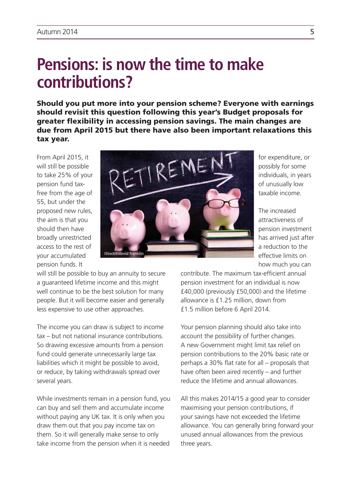### <span id="page-4-0"></span>**Pensions: is now the time to make contributions?**

Should you put more into your pension scheme? Everyone with earnings should revisit this question following this year's Budget proposals for greater flexibility in accessing pension savings. The main changes are due from April 2015 but there have also been important relaxations this tax year.

From April 2015, it will still be possible to take 25% of your pension fund taxfree from the age of 55, but under the proposed new rules, the aim is that you should then have broadly unrestricted access to the rest of your accumulated pension funds. It



for expenditure, or possibly for some individuals, in years of unusually low taxable income.

The increased attractiveness of pension investment has arrived just after a reduction to the effective limits on how much you can

will still be possible to buy an annuity to secure a guaranteed lifetime income and this might well continue to be the best solution for many people. But it will become easier and generally less expensive to use other approaches.

The income you can draw is subject to income tax – but not national insurance contributions. So drawing excessive amounts from a pension fund could generate unnecessarily large tax liabilities which it might be possible to avoid, or reduce, by taking withdrawals spread over several years.

While investments remain in a pension fund, you can buy and sell them and accumulate income without paying any UK tax. It is only when you draw them out that you pay income tax on them. So it will generally make sense to only take income from the pension when it is needed

contribute. The maximum tax-efficient annual pension investment for an individual is now £40,000 (previously £50,000) and the lifetime allowance is £1.25 million, down from £1.5 million before 6 April 2014.

Your pension planning should also take into account the possibility of further changes. A new Government might limit tax relief on pension contributions to the 20% basic rate or perhaps a 30% flat rate for all – proposals that have often been aired recently – and further reduce the lifetime and annual allowances.

All this makes 2014/15 a good year to consider maximising your pension contributions, if your savings have not exceeded the lifetime allowance. You can generally bring forward your unused annual allowances from the previous three years.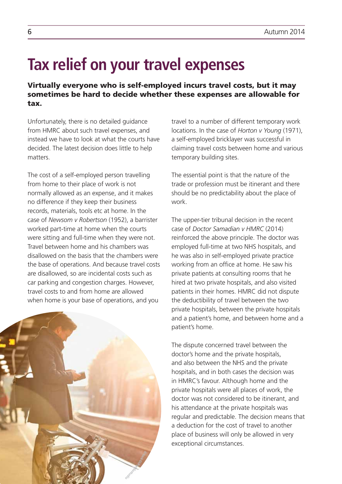## <span id="page-5-0"></span>**Tax relief on your travel expenses**

Virtually everyone who is self-employed incurs travel costs, but it may sometimes be hard to decide whether these expenses are allowable for tax.

Unfortunately, there is no detailed guidance from HMRC about such travel expenses, and instead we have to look at what the courts have decided. The latest decision does little to help matters.

The cost of a self-employed person travelling from home to their place of work is not normally allowed as an expense, and it makes no difference if they keep their business records, materials, tools etc at home. In the case of *Newsom v Robertson* (1952), a barrister worked part-time at home when the courts were sitting and full-time when they were not. Travel between home and his chambers was disallowed on the basis that the chambers were the base of operations. And because travel costs are disallowed, so are incidental costs such as car parking and congestion charges. However, travel costs to and from home are allowed when home is your base of operations, and you



travel to a number of different temporary work locations. In the case of *Horton v Young* (1971), a self-employed bricklayer was successful in claiming travel costs between home and various temporary building sites.

The essential point is that the nature of the trade or profession must be itinerant and there should be no predictability about the place of work.

The upper-tier tribunal decision in the recent case of *Doctor Samadian v HMRC* (2014) reinforced the above principle. The doctor was employed full-time at two NHS hospitals, and he was also in self-employed private practice working from an office at home. He saw his private patients at consulting rooms that he hired at two private hospitals, and also visited patients in their homes. HMRC did not dispute the deductibility of travel between the two private hospitals, between the private hospitals and a patient's home, and between home and a patient's home.

The dispute concerned travel between the doctor's home and the private hospitals and also between the NHS and the private hospitals, and in both cases the decision was in HMRC's favour. Although home and the private hospitals were all places of work, the doctor was not considered to be itinerant, and his attendance at the private hospitals was regular and predictable. The decision means that a deduction for the cost of travel to another place of business will only be allowed in very exceptional circumstances.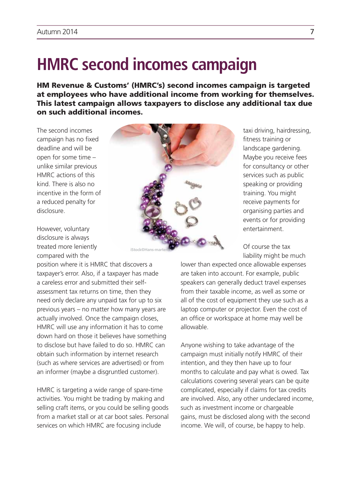## <span id="page-6-0"></span>**HMRC second incomes campaign**

HM Revenue & Customs' (HMRC's) second incomes campaign is targeted at employees who have additional income from working for themselves. This latest campaign allows taxpayers to disclose any additional tax due on such additional incomes.

The second incomes campaign has no fixed deadline and will be open for some time – unlike similar previous HMRC actions of this kind. There is also no incentive in the form of a reduced penalty for disclosure.

However, voluntary disclosure is always treated more leniently compared with the

position where it is HMRC that discovers a taxpayer's error. Also, if a taxpayer has made a careless error and submitted their selfassessment tax returns on time, then they need only declare any unpaid tax for up to six previous years – no matter how many years are actually involved. Once the campaign closes, HMRC will use any information it has to come down hard on those it believes have something to disclose but have failed to do so. HMRC can obtain such information by internet research (such as where services are advertised) or from an informer (maybe a disgruntled customer).

HMRC is targeting a wide range of spare-time activities. You might be trading by making and selling craft items, or you could be selling goods from a market stall or at car boot sales. Personal services on which HMRC are focusing include



taxi driving, hairdressing, fitness training or landscape gardening. Maybe you receive fees for consultancy or other services such as public speaking or providing training. You might receive payments for organising parties and events or for providing entertainment.

Of course the tax liability might be much

lower than expected once allowable expenses are taken into account. For example, public speakers can generally deduct travel expenses from their taxable income, as well as some or all of the cost of equipment they use such as a laptop computer or projector. Even the cost of an office or workspace at home may well be allowable.

Anyone wishing to take advantage of the campaign must initially notify HMRC of their intention, and they then have up to four months to calculate and pay what is owed. Tax calculations covering several years can be quite complicated, especially if claims for tax credits are involved. Also, any other undeclared income, such as investment income or chargeable gains, must be disclosed along with the second income. We will, of course, be happy to help.